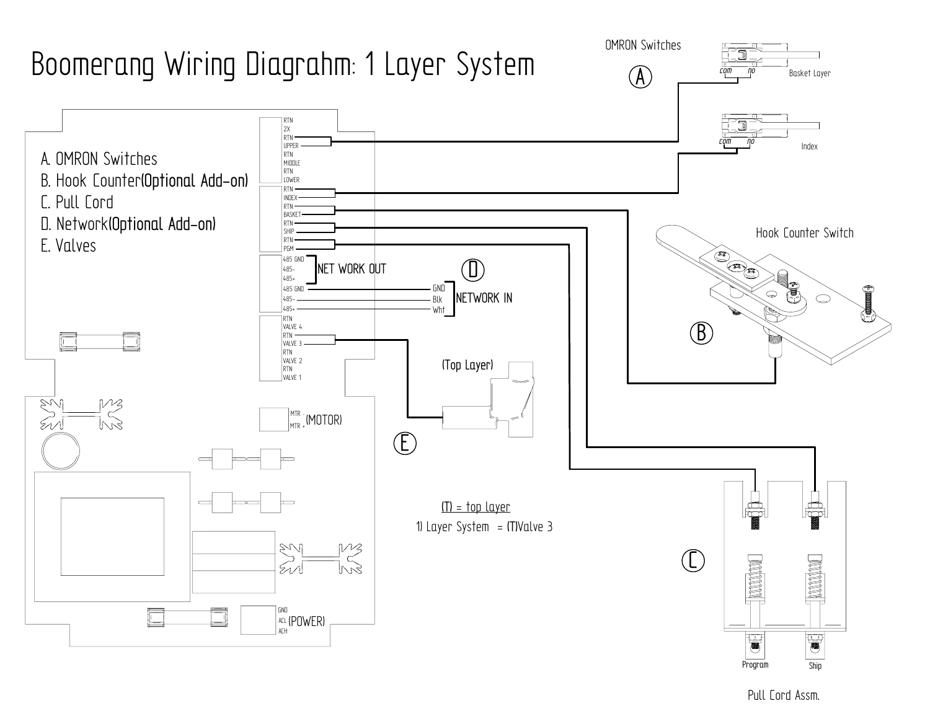

Pull Cord Assm.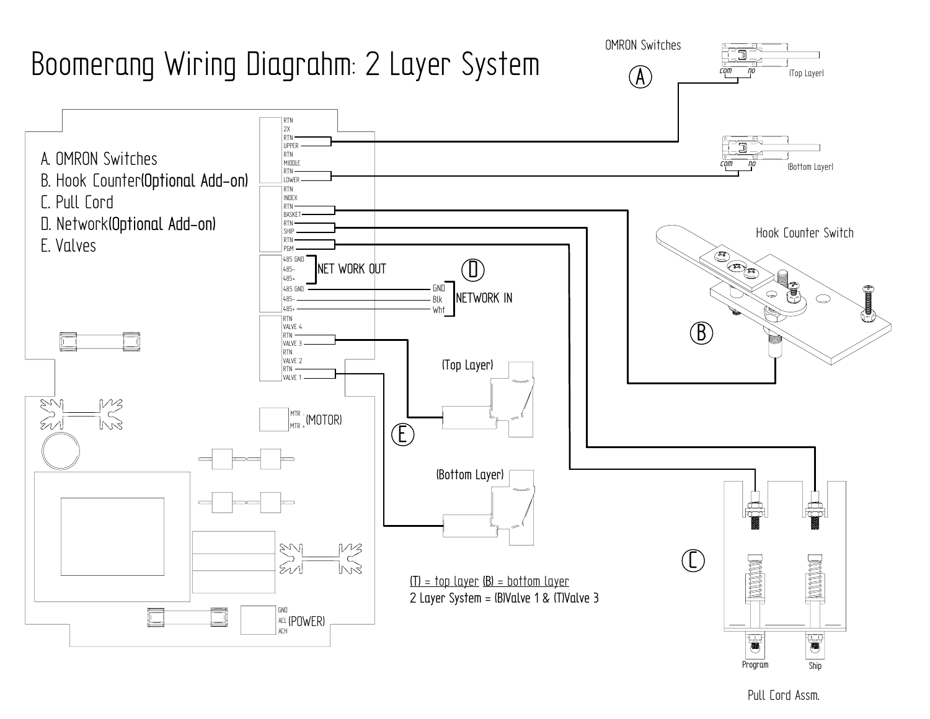

Pull Cord Assm.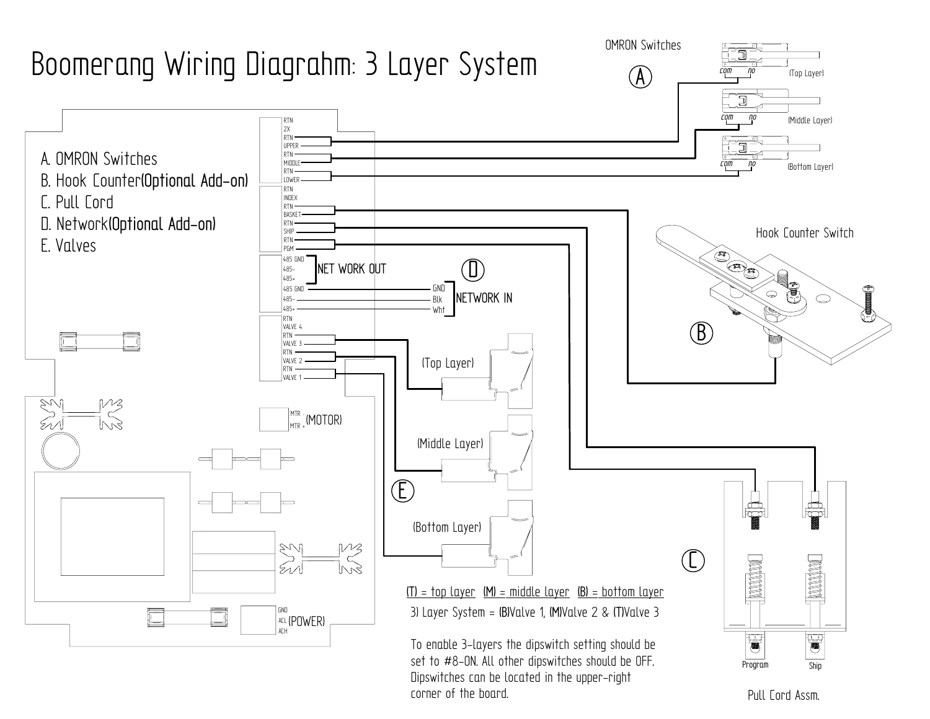